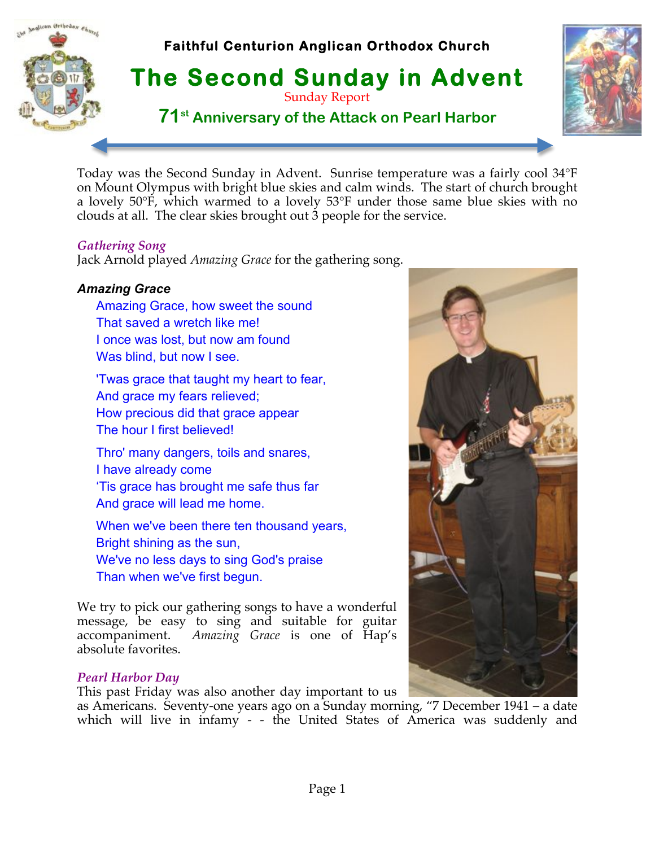**Faithful Centurion Anglican Orthodox Church** 



# **The Second Sunday in Advent**

Sunday Report

**71st Anniversary of the Attack on Pearl Harbor**



Today was the Second Sunday in Advent. Sunrise temperature was a fairly cool 34°F on Mount Olympus with bright blue skies and calm winds. The start of church brought a lovely 50°F, which warmed to a lovely 53°F under those same blue skies with no clouds at all. The clear skies brought out 3 people for the service.

# *Gathering Song*

Jack Arnold played *Amazing Grace* for the gathering song.

# *Amazing Grace*

Amazing Grace, how sweet the sound That saved a wretch like me! I once was lost, but now am found Was blind, but now I see.

'Twas grace that taught my heart to fear, And grace my fears relieved; How precious did that grace appear The hour I first believed!

Thro' many dangers, toils and snares, I have already come 'Tis grace has brought me safe thus far And grace will lead me home.

When we've been there ten thousand years, Bright shining as the sun, We've no less days to sing God's praise Than when we've first begun.

We try to pick our gathering songs to have a wonderful message, be easy to sing and suitable for guitar accompaniment. *Amazing Grace* is one of Hap's absolute favorites.

# *Pearl Harbor Day*

This past Friday was also another day important to us

as Americans. Seventy-one years ago on a Sunday morning, "7 December 1941 – a date which will live in infamy - - the United States of America was suddenly and

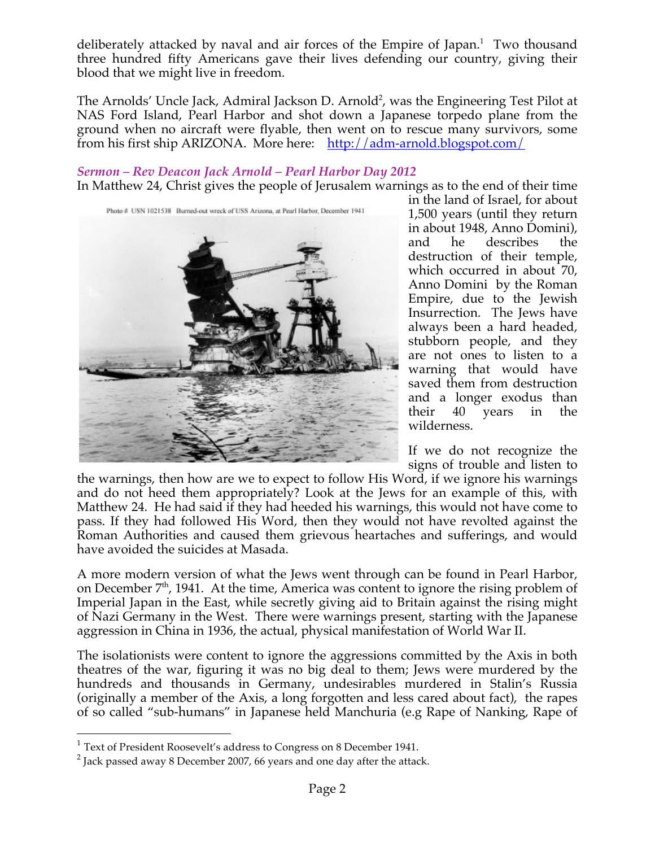deliberately attacked by naval and air forces of the Empire of Japan.<sup>1</sup> Two thousand three hundred fifty Americans gave their lives defending our country, giving their blood that we might live in freedom.

The Arnolds' Uncle Jack, Admiral Jackson D. Arnold<sup>2</sup>, was the Engineering Test Pilot at NAS Ford Island, Pearl Harbor and shot down a Japanese torpedo plane from the ground when no aircraft were flyable, then went on to rescue many survivors, some from his first ship ARIZONA. More here: http://adm-arnold.blogspot.com/

# *Sermon – Rev Deacon Jack Arnold – Pearl Harbor Day 2012*

In Matthew 24, Christ gives the people of Jerusalem warnings as to the end of their time

Photo # USN 1021538 Burned-out wreck of USS Arizona at Pearl Harbor, December 1941



in the land of Israel, for about 1,500 years (until they return in about 1948, Anno Domini), and he describes the destruction of their temple, which occurred in about 70, Anno Domini by the Roman Empire, due to the Jewish Insurrection. The Jews have always been a hard headed, stubborn people, and they are not ones to listen to a warning that would have saved them from destruction and a longer exodus than their 40 years in the wilderness.

If we do not recognize the signs of trouble and listen to

the warnings, then how are we to expect to follow His Word, if we ignore his warnings and do not heed them appropriately? Look at the Jews for an example of this, with Matthew 24. He had said if they had heeded his warnings, this would not have come to pass. If they had followed His Word, then they would not have revolted against the Roman Authorities and caused them grievous heartaches and sufferings, and would have avoided the suicides at Masada.

A more modern version of what the Jews went through can be found in Pearl Harbor, on December  $7<sup>th</sup>$ , 1941. At the time, America was content to ignore the rising problem of Imperial Japan in the East, while secretly giving aid to Britain against the rising might of Nazi Germany in the West. There were warnings present, starting with the Japanese aggression in China in 1936, the actual, physical manifestation of World War II.

The isolationists were content to ignore the aggressions committed by the Axis in both theatres of the war, figuring it was no big deal to them; Jews were murdered by the hundreds and thousands in Germany, undesirables murdered in Stalin's Russia (originally a member of the Axis, a long forgotten and less cared about fact), the rapes of so called "sub-humans" in Japanese held Manchuria (e.g Rape of Nanking, Rape of

 $1$  Text of President Roosevelt's address to Congress on 8 December 1941.

 $^2$  Jack passed away 8 December 2007, 66 years and one day after the attack.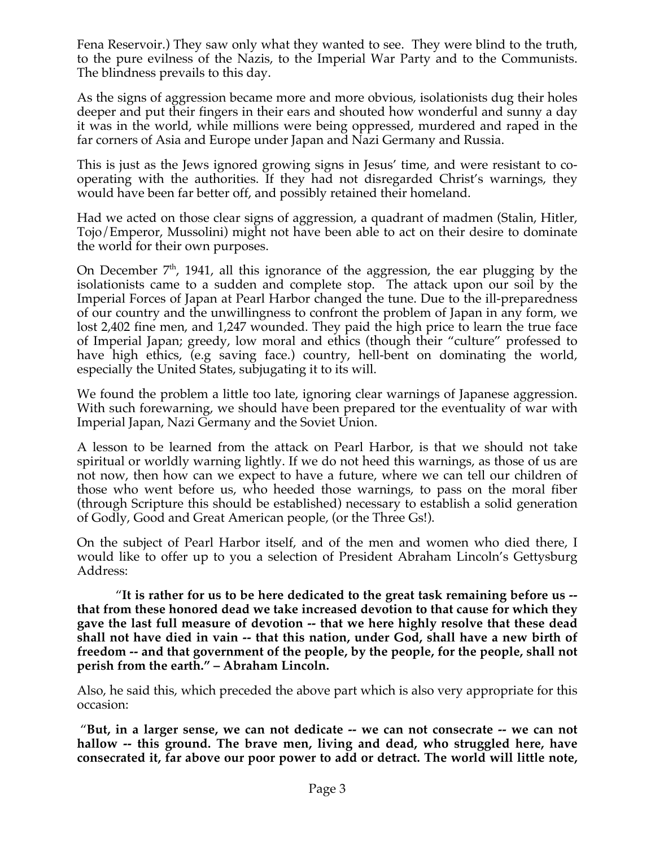Fena Reservoir.) They saw only what they wanted to see. They were blind to the truth, to the pure evilness of the Nazis, to the Imperial War Party and to the Communists. The blindness prevails to this day.

As the signs of aggression became more and more obvious, isolationists dug their holes deeper and put their fingers in their ears and shouted how wonderful and sunny a day it was in the world, while millions were being oppressed, murdered and raped in the far corners of Asia and Europe under Japan and Nazi Germany and Russia.

This is just as the Jews ignored growing signs in Jesus' time, and were resistant to cooperating with the authorities. If they had not disregarded Christ's warnings, they would have been far better off, and possibly retained their homeland.

Had we acted on those clear signs of aggression, a quadrant of madmen (Stalin, Hitler, Tojo/Emperor, Mussolini) might not have been able to act on their desire to dominate the world for their own purposes.

On December  $7<sup>th</sup>$ , 1941, all this ignorance of the aggression, the ear plugging by the isolationists came to a sudden and complete stop. The attack upon our soil by the Imperial Forces of Japan at Pearl Harbor changed the tune. Due to the ill-preparedness of our country and the unwillingness to confront the problem of Japan in any form, we lost 2,402 fine men, and 1,247 wounded. They paid the high price to learn the true face of Imperial Japan; greedy, low moral and ethics (though their "culture" professed to have high ethics, (e.g saving face.) country, hell-bent on dominating the world, especially the United States, subjugating it to its will.

We found the problem a little too late, ignoring clear warnings of Japanese aggression. With such forewarning, we should have been prepared tor the eventuality of war with Imperial Japan, Nazi Germany and the Soviet Union.

A lesson to be learned from the attack on Pearl Harbor, is that we should not take spiritual or worldly warning lightly. If we do not heed this warnings, as those of us are not now, then how can we expect to have a future, where we can tell our children of those who went before us, who heeded those warnings, to pass on the moral fiber (through Scripture this should be established) necessary to establish a solid generation of Godly, Good and Great American people, (or the Three Gs!).

On the subject of Pearl Harbor itself, and of the men and women who died there, I would like to offer up to you a selection of President Abraham Lincoln's Gettysburg Address:

"**It is rather for us to be here dedicated to the great task remaining before us - that from these honored dead we take increased devotion to that cause for which they gave the last full measure of devotion -- that we here highly resolve that these dead shall not have died in vain -- that this nation, under God, shall have a new birth of freedom -- and that government of the people, by the people, for the people, shall not perish from the earth." – Abraham Lincoln.**

Also, he said this, which preceded the above part which is also very appropriate for this occasion:

"**But, in a larger sense, we can not dedicate -- we can not consecrate -- we can not hallow -- this ground. The brave men, living and dead, who struggled here, have consecrated it, far above our poor power to add or detract. The world will little note,**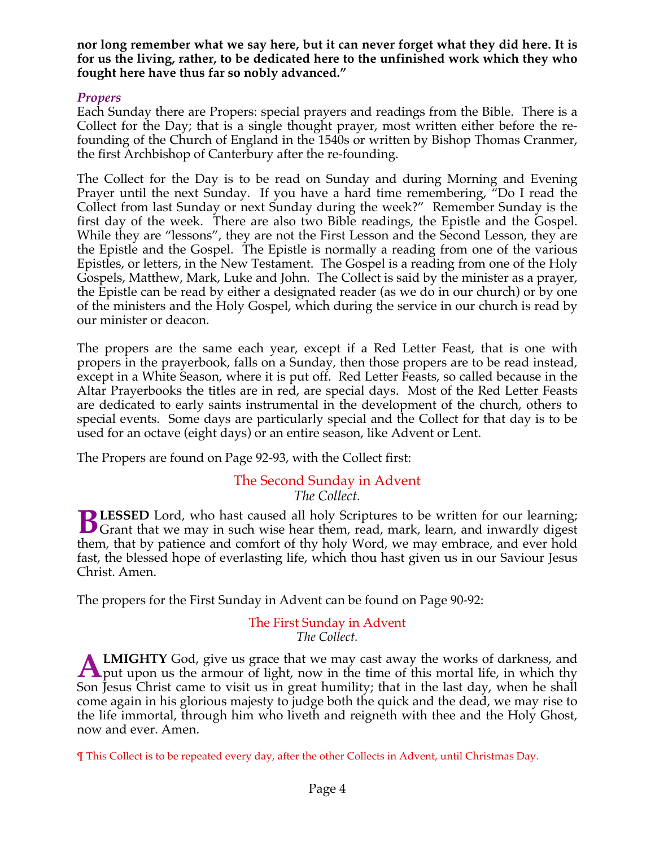**nor long remember what we say here, but it can never forget what they did here. It is for us the living, rather, to be dedicated here to the unfinished work which they who fought here have thus far so nobly advanced."**

## *Propers*

Each Sunday there are Propers: special prayers and readings from the Bible. There is a Collect for the Day; that is a single thought prayer, most written either before the refounding of the Church of England in the 1540s or written by Bishop Thomas Cranmer, the first Archbishop of Canterbury after the re-founding.

The Collect for the Day is to be read on Sunday and during Morning and Evening Prayer until the next Sunday. If you have a hard time remembering, "Do I read the Collect from last Sunday or next Sunday during the week?" Remember Sunday is the first day of the week. There are also two Bible readings, the Epistle and the Gospel. While they are "lessons", they are not the First Lesson and the Second Lesson, they are the Epistle and the Gospel. The Epistle is normally a reading from one of the various Epistles, or letters, in the New Testament. The Gospel is a reading from one of the Holy Gospels, Matthew, Mark, Luke and John. The Collect is said by the minister as a prayer, the Epistle can be read by either a designated reader (as we do in our church) or by one of the ministers and the Holy Gospel, which during the service in our church is read by our minister or deacon.

The propers are the same each year, except if a Red Letter Feast, that is one with propers in the prayerbook, falls on a Sunday, then those propers are to be read instead, except in a White Season, where it is put off. Red Letter Feasts, so called because in the Altar Prayerbooks the titles are in red, are special days. Most of the Red Letter Feasts are dedicated to early saints instrumental in the development of the church, others to special events. Some days are particularly special and the Collect for that day is to be used for an octave (eight days) or an entire season, like Advent or Lent.

The Propers are found on Page 92-93, with the Collect first:

#### The Second Sunday in Advent *The Collect.*

**LESSED** Lord, who hast caused all holy Scriptures to be written for our learning; **BLESSED** Lord, who hast caused all holy Scriptures to be written for our learning;<br>Grant that we may in such wise hear them, read, mark, learn, and inwardly digest them, that by patience and comfort of thy holy Word, we may embrace, and ever hold fast, the blessed hope of everlasting life, which thou hast given us in our Saviour Jesus Christ. Amen.

The propers for the First Sunday in Advent can be found on Page 90-92:

#### The First Sunday in Advent *The Collect.*

**LMIGHTY** God, give us grace that we may cast away the works of darkness, and **ALMIGHTY** God, give us grace that we may cast away the works of darkness, and put upon us the armour of light, now in the time of this mortal life, in which thy Son Jesus Christ came to visit us in great humility; that in the last day, when he shall come again in his glorious majesty to judge both the quick and the dead, we may rise to the life immortal, through him who liveth and reigneth with thee and the Holy Ghost, now and ever. Amen.

¶ This Collect is to be repeated every day, after the other Collects in Advent, until Christmas Day.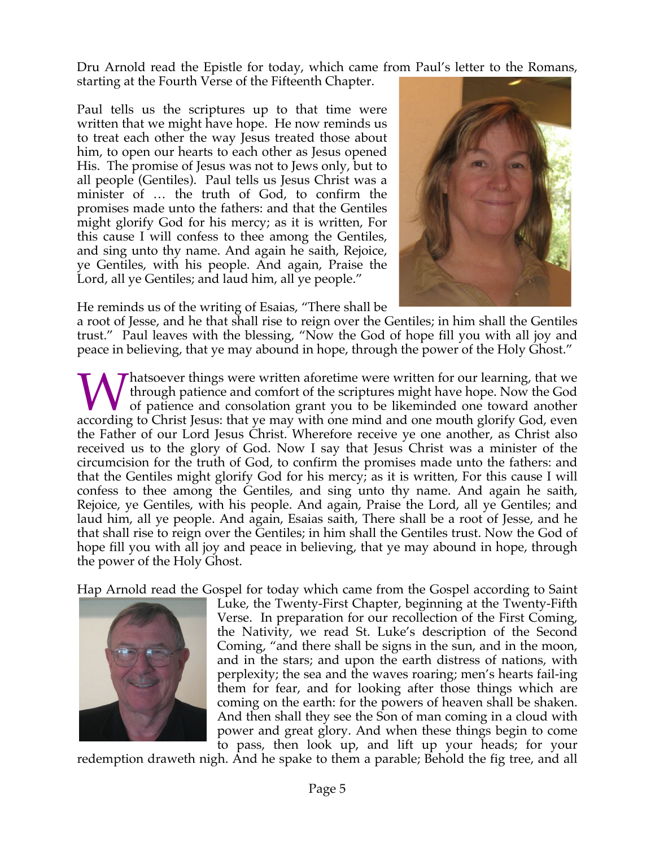Dru Arnold read the Epistle for today, which came from Paul's letter to the Romans, starting at the Fourth Verse of the Fifteenth Chapter.

Paul tells us the scriptures up to that time were written that we might have hope. He now reminds us to treat each other the way Jesus treated those about him, to open our hearts to each other as Jesus opened His. The promise of Jesus was not to Jews only, but to all people (Gentiles). Paul tells us Jesus Christ was a minister of … the truth of God, to confirm the promises made unto the fathers: and that the Gentiles might glorify God for his mercy; as it is written, For this cause I will confess to thee among the Gentiles, and sing unto thy name. And again he saith, Rejoice, ye Gentiles, with his people. And again, Praise the Lord, all ye Gentiles; and laud him, all ye people."



He reminds us of the writing of Esaias, "There shall be

a root of Jesse, and he that shall rise to reign over the Gentiles; in him shall the Gentiles trust." Paul leaves with the blessing, "Now the God of hope fill you with all joy and peace in believing, that ye may abound in hope, through the power of the Holy Ghost."

**Thatsoever things were written aforetime were written for our learning, that we** through patience and comfort of the scriptures might have hope. Now the God of patience and consolation grant you to be likeminded one toward another **A** hatsoever things were written aforetime were written for our learning, that we through patience and comfort of the scriptures might have hope. Now the God of patience and consolation grant you to be likeminded one towa the Father of our Lord Jesus Christ. Wherefore receive ye one another, as Christ also received us to the glory of God. Now I say that Jesus Christ was a minister of the circumcision for the truth of God, to confirm the promises made unto the fathers: and that the Gentiles might glorify God for his mercy; as it is written, For this cause I will confess to thee among the Gentiles, and sing unto thy name. And again he saith, Rejoice, ye Gentiles, with his people. And again, Praise the Lord, all ye Gentiles; and laud him, all ye people. And again, Esaias saith, There shall be a root of Jesse, and he that shall rise to reign over the Gentiles; in him shall the Gentiles trust. Now the God of hope fill you with all joy and peace in believing, that ye may abound in hope, through the power of the Holy Ghost.

Hap Arnold read the Gospel for today which came from the Gospel according to Saint



Luke, the Twenty-First Chapter, beginning at the Twenty-Fifth Verse. In preparation for our recollection of the First Coming, the Nativity, we read St. Luke's description of the Second Coming, "and there shall be signs in the sun, and in the moon, and in the stars; and upon the earth distress of nations, with perplexity; the sea and the waves roaring; men's hearts fail-ing them for fear, and for looking after those things which are coming on the earth: for the powers of heaven shall be shaken. And then shall they see the Son of man coming in a cloud with power and great glory. And when these things begin to come to pass, then look up, and lift up your heads; for your

redemption draweth nigh. And he spake to them a parable; Behold the fig tree, and all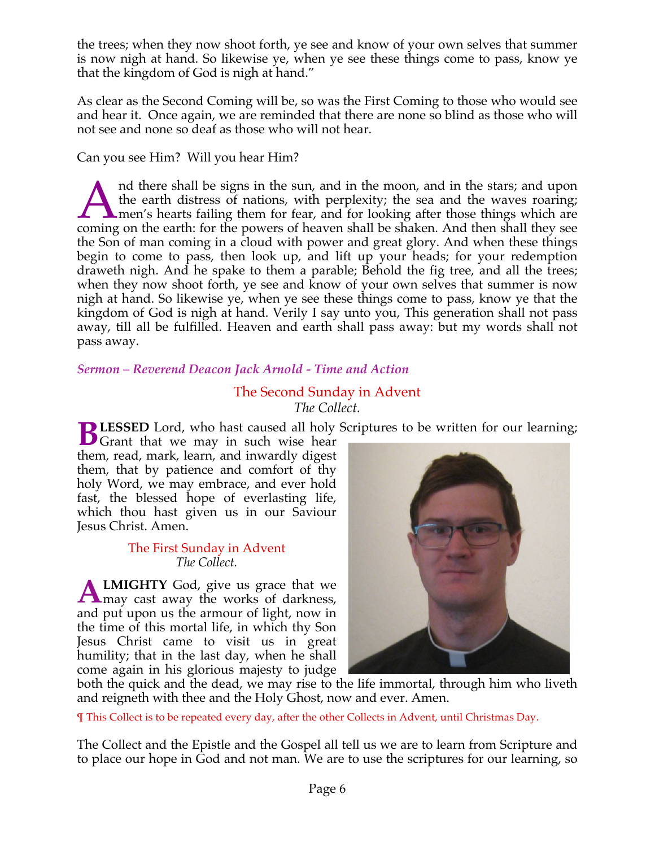the trees; when they now shoot forth, ye see and know of your own selves that summer is now nigh at hand. So likewise ye, when ye see these things come to pass, know ye that the kingdom of God is nigh at hand."

As clear as the Second Coming will be, so was the First Coming to those who would see and hear it. Once again, we are reminded that there are none so blind as those who will not see and none so deaf as those who will not hear.

Can you see Him? Will you hear Him?

nd there shall be signs in the sun, and in the moon, and in the stars; and upon the earth distress of nations, with perplexity; the sea and the waves roaring; men's hearts failing them for fear, and for looking after those things which are In the earth distress of nations, with perplexity; the sea and the waves roaring; men's hearts failing them for fear, and for looking after those things which are coming on the earth: for the powers of heaven shall be shak the Son of man coming in a cloud with power and great glory. And when these things begin to come to pass, then look up, and lift up your heads; for your redemption draweth nigh. And he spake to them a parable; Behold the fig tree, and all the trees; when they now shoot forth, ye see and know of your own selves that summer is now nigh at hand. So likewise ye, when ye see these things come to pass, know ye that the kingdom of God is nigh at hand. Verily I say unto you, This generation shall not pass away, till all be fulfilled. Heaven and earth shall pass away: but my words shall not pass away.

*Sermon – Reverend Deacon Jack Arnold - Time and Action*

#### The Second Sunday in Advent *The Collect.*

**LESSED** Lord, who hast caused all holy Scriptures to be written for our learning;

**BLESSED** Lord, who hast caused all holy Grant that we may in such wise hear them, read, mark, learn, and inwardly digest them, that by patience and comfort of thy holy Word, we may embrace, and ever hold fast, the blessed hope of everlasting life, which thou hast given us in our Saviour Jesus Christ. Amen.

#### The First Sunday in Advent *The Collect.*

**LMIGHTY** God, give us grace that we **ALMIGHTY** God, give us grace that we may cast away the works of darkness, and put upon us the armour of light, now in the time of this mortal life, in which thy Son Jesus Christ came to visit us in great humility; that in the last day, when he shall come again in his glorious majesty to judge



both the quick and the dead, we may rise to the life immortal, through him who liveth and reigneth with thee and the Holy Ghost, now and ever. Amen.

¶ This Collect is to be repeated every day, after the other Collects in Advent, until Christmas Day.

The Collect and the Epistle and the Gospel all tell us we are to learn from Scripture and to place our hope in God and not man. We are to use the scriptures for our learning, so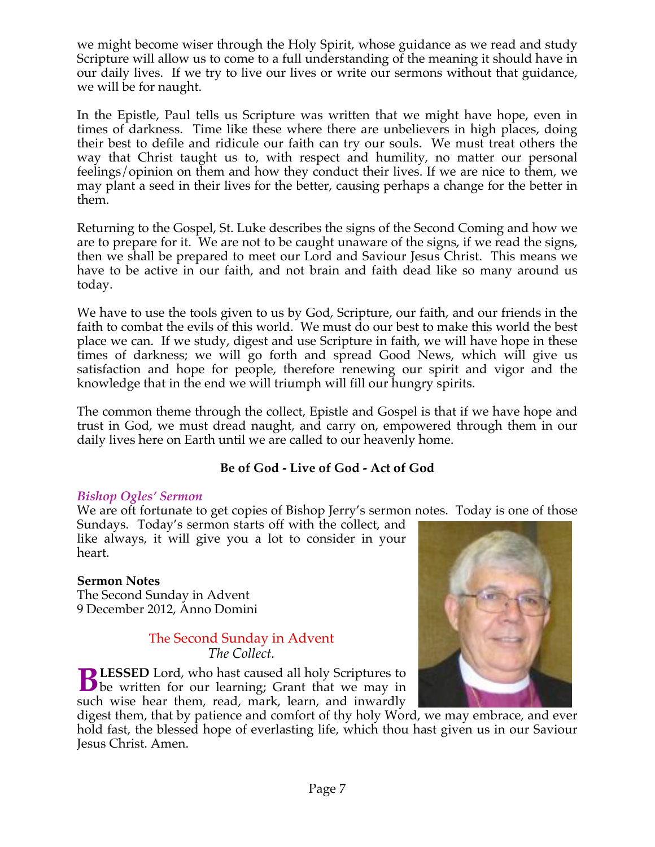we might become wiser through the Holy Spirit, whose guidance as we read and study Scripture will allow us to come to a full understanding of the meaning it should have in our daily lives. If we try to live our lives or write our sermons without that guidance, we will be for naught.

In the Epistle, Paul tells us Scripture was written that we might have hope, even in times of darkness. Time like these where there are unbelievers in high places, doing their best to defile and ridicule our faith can try our souls. We must treat others the way that Christ taught us to, with respect and humility, no matter our personal feelings/opinion on them and how they conduct their lives. If we are nice to them, we may plant a seed in their lives for the better, causing perhaps a change for the better in them.

Returning to the Gospel, St. Luke describes the signs of the Second Coming and how we are to prepare for it. We are not to be caught unaware of the signs, if we read the signs, then we shall be prepared to meet our Lord and Saviour Jesus Christ. This means we have to be active in our faith, and not brain and faith dead like so many around us today.

We have to use the tools given to us by God, Scripture, our faith, and our friends in the faith to combat the evils of this world. We must do our best to make this world the best place we can. If we study, digest and use Scripture in faith, we will have hope in these times of darkness; we will go forth and spread Good News, which will give us satisfaction and hope for people, therefore renewing our spirit and vigor and the knowledge that in the end we will triumph will fill our hungry spirits.

The common theme through the collect, Epistle and Gospel is that if we have hope and trust in God, we must dread naught, and carry on, empowered through them in our daily lives here on Earth until we are called to our heavenly home.

# **Be of God - Live of God - Act of God**

#### *Bishop Ogles' Sermon*

We are oft fortunate to get copies of Bishop Jerry's sermon notes. Today is one of those

Sundays. Today's sermon starts off with the collect, and like always, it will give you a lot to consider in your heart.

# **Sermon Notes**

The Second Sunday in Advent 9 December 2012, Anno Domini

> The Second Sunday in Advent *The Collect.*

**LESSED** Lord, who hast caused all holy Scriptures to **BLESSED** Lord, who hast caused all holy Scriptures to be written for our learning; Grant that we may in such wise hear them, read, mark, learn, and inwardly

digest them, that by patience and comfort of thy holy Word, we may embrace, and ever hold fast, the blessed hope of everlasting life, which thou hast given us in our Saviour Jesus Christ. Amen.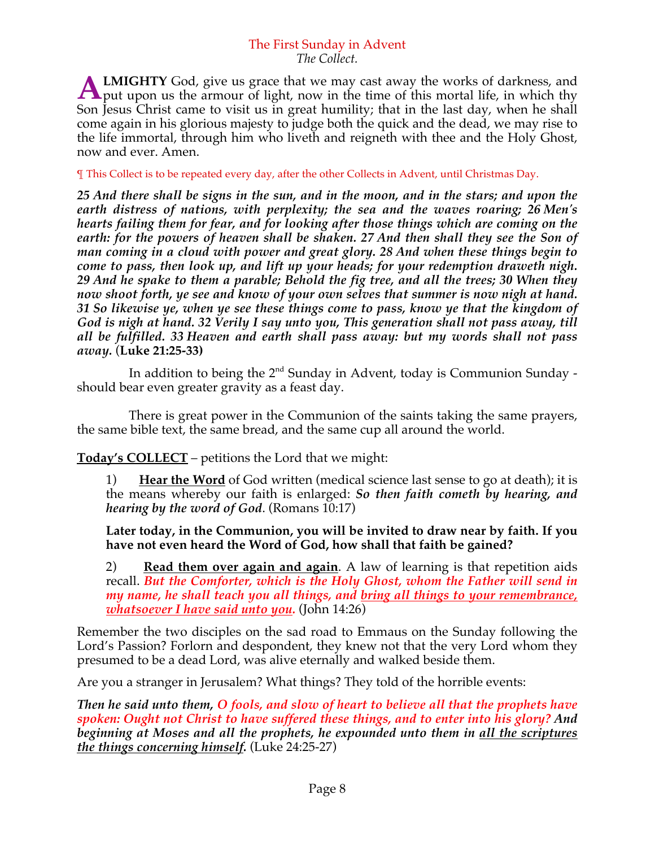#### The First Sunday in Advent *The Collect.*

**LMIGHTY** God, give us grace that we may cast away the works of darkness, and **ALMIGHTY** God, give us grace that we may cast away the works of darkness, and put upon us the armour of light, now in the time of this mortal life, in which thy Son Jesus Christ came to visit us in great humility; that in the last day, when he shall come again in his glorious majesty to judge both the quick and the dead, we may rise to the life immortal, through him who liveth and reigneth with thee and the Holy Ghost, now and ever. Amen.

¶ This Collect is to be repeated every day, after the other Collects in Advent, until Christmas Day.

*25 And there shall be signs in the sun, and in the moon, and in the stars; and upon the earth distress of nations, with perplexity; the sea and the waves roaring; 26 Men's hearts failing them for fear, and for looking after those things which are coming on the earth: for the powers of heaven shall be shaken. 27 And then shall they see the Son of man coming in a cloud with power and great glory. 28 And when these things begin to come to pass, then look up, and lift up your heads; for your redemption draweth nigh. 29 And he spake to them a parable; Behold the fig tree, and all the trees; 30 When they now shoot forth, ye see and know of your own selves that summer is now nigh at hand. 31 So likewise ye, when ye see these things come to pass, know ye that the kingdom of God is nigh at hand. 32 Verily I say unto you, This generation shall not pass away, till all be fulfilled. 33 Heaven and earth shall pass away: but my words shall not pass away.* (**Luke 21:25-33)**

In addition to being the 2nd Sunday in Advent, today is Communion Sunday should bear even greater gravity as a feast day.

 There is great power in the Communion of the saints taking the same prayers, the same bible text, the same bread, and the same cup all around the world.

**Today's COLLECT** – petitions the Lord that we might:

1) **Hear the Word** of God written (medical science last sense to go at death); it is the means whereby our faith is enlarged: *So then faith cometh by hearing, and hearing by the word of God*. (Romans 10:17)

**Later today, in the Communion, you will be invited to draw near by faith. If you have not even heard the Word of God, how shall that faith be gained?**

2) **Read them over again and again**. A law of learning is that repetition aids recall. *But the Comforter, which is the Holy Ghost, whom the Father will send in my name, he shall teach you all things, and bring all things to your remembrance, whatsoever I have said unto you.* (John 14:26)

Remember the two disciples on the sad road to Emmaus on the Sunday following the Lord's Passion? Forlorn and despondent, they knew not that the very Lord whom they presumed to be a dead Lord, was alive eternally and walked beside them.

Are you a stranger in Jerusalem? What things? They told of the horrible events:

*Then he said unto them, O fools, and slow of heart to believe all that the prophets have spoken: Ought not Christ to have suffered these things, and to enter into his glory? And beginning at Moses and all the prophets, he expounded unto them in all the scriptures the things concerning himself.* (Luke 24:25-27)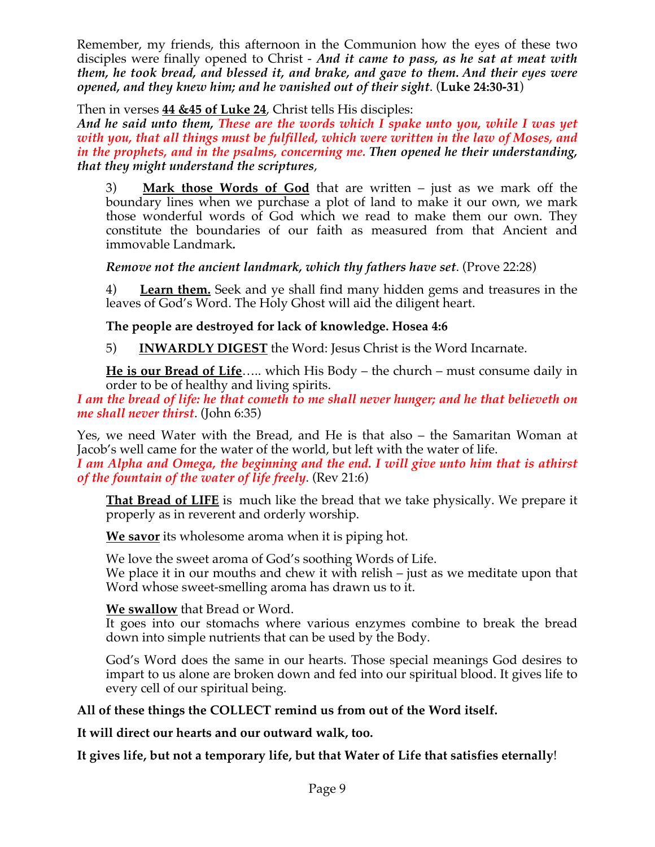Remember, my friends, this afternoon in the Communion how the eyes of these two disciples were finally opened to Christ - *And it came to pass, as he sat at meat with them, he took bread, and blessed it, and brake, and gave to them. And their eyes were opened, and they knew him; and he vanished out of their sight*. (**Luke 24:30-31**)

Then in verses **44 &45 of Luke 24**, Christ tells His disciples:

*And he said unto them, These are the words which I spake unto you, while I was yet with you, that all things must be fulfilled, which were written in the law of Moses, and in the prophets, and in the psalms, concerning me. Then opened he their understanding, that they might understand the scriptures*,

3) **Mark those Words of God** that are written – just as we mark off the boundary lines when we purchase a plot of land to make it our own, we mark those wonderful words of God which we read to make them our own. They constitute the boundaries of our faith as measured from that Ancient and immovable Landmark*.*

*Remove not the ancient landmark, which thy fathers have set*. (Prove 22:28)

4) **Learn them.** Seek and ye shall find many hidden gems and treasures in the leaves of God's Word. The Holy Ghost will aid the diligent heart.

**The people are destroyed for lack of knowledge. Hosea 4:6**

5) **INWARDLY DIGEST** the Word: Jesus Christ is the Word Incarnate.

**He is our Bread of Life**….. which His Body – the church – must consume daily in order to be of healthy and living spirits.

*I am the bread of life: he that cometh to me shall never hunger; and he that believeth on me shall never thirst*. (John 6:35)

Yes, we need Water with the Bread, and He is that also – the Samaritan Woman at Jacob's well came for the water of the world, but left with the water of life.

*I am Alpha and Omega, the beginning and the end. I will give unto him that is athirst of the fountain of the water of life freely*. (Rev 21:6)

**That Bread of LIFE** is much like the bread that we take physically. We prepare it properly as in reverent and orderly worship.

**We savor** its wholesome aroma when it is piping hot.

We love the sweet aroma of God's soothing Words of Life. We place it in our mouths and chew it with relish – just as we meditate upon that Word whose sweet-smelling aroma has drawn us to it.

**We swallow** that Bread or Word.

It goes into our stomachs where various enzymes combine to break the bread down into simple nutrients that can be used by the Body.

God's Word does the same in our hearts. Those special meanings God desires to impart to us alone are broken down and fed into our spiritual blood. It gives life to every cell of our spiritual being.

**All of these things the COLLECT remind us from out of the Word itself.**

**It will direct our hearts and our outward walk, too.**

**It gives life, but not a temporary life, but that Water of Life that satisfies eternally**!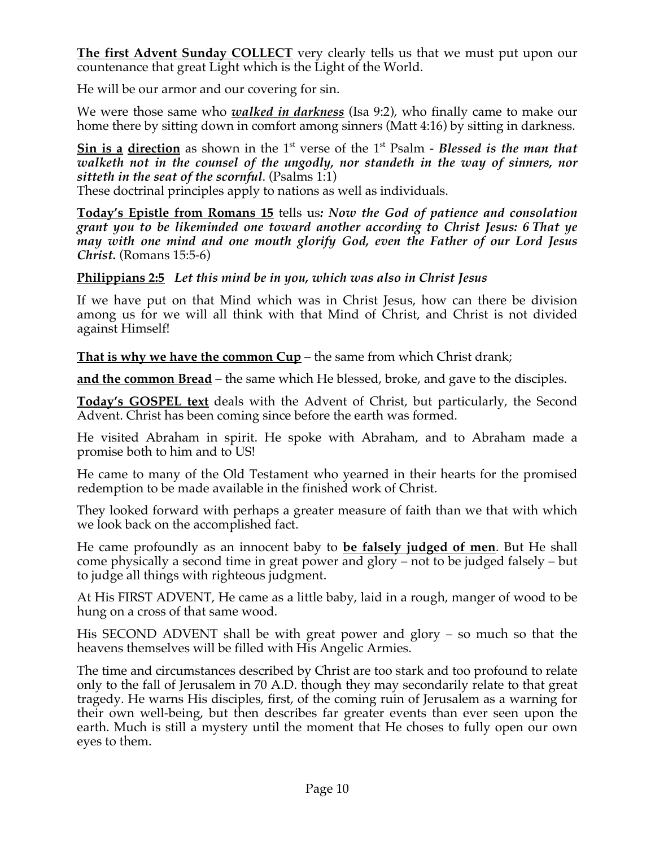**The first Advent Sunday COLLECT** very clearly tells us that we must put upon our countenance that great Light which is the Light of the World.

He will be our armor and our covering for sin.

We were those same who *walked in darkness* (Isa 9:2), who finally came to make our home there by sitting down in comfort among sinners (Matt 4:16) by sitting in darkness.

**Sin is a direction** as shown in the 1<sup>st</sup> verse of the 1<sup>st</sup> Psalm - *Blessed is the man that walketh not in the counsel of the ungodly, nor standeth in the way of sinners, nor sitteth in the seat of the scornful*. (Psalms 1:1)

These doctrinal principles apply to nations as well as individuals.

**Today's Epistle from Romans 15** tells us*: Now the God of patience and consolation grant you to be likeminded one toward another according to Christ Jesus: 6 That ye may with one mind and one mouth glorify God, even the Father of our Lord Jesus Christ.* (Romans 15:5-6)

**Philippians 2:5** *Let this mind be in you, which was also in Christ Jesus*

If we have put on that Mind which was in Christ Jesus, how can there be division among us for we will all think with that Mind of Christ, and Christ is not divided against Himself!

**That is why we have the common Cup** – the same from which Christ drank;

**and the common Bread** – the same which He blessed, broke, and gave to the disciples.

**Today's GOSPEL text** deals with the Advent of Christ, but particularly, the Second Advent. Christ has been coming since before the earth was formed.

He visited Abraham in spirit. He spoke with Abraham, and to Abraham made a promise both to him and to US!

He came to many of the Old Testament who yearned in their hearts for the promised redemption to be made available in the finished work of Christ.

They looked forward with perhaps a greater measure of faith than we that with which we look back on the accomplished fact.

He came profoundly as an innocent baby to **be falsely judged of men**. But He shall come physically a second time in great power and glory – not to be judged falsely – but to judge all things with righteous judgment.

At His FIRST ADVENT, He came as a little baby, laid in a rough, manger of wood to be hung on a cross of that same wood.

His SECOND ADVENT shall be with great power and glory – so much so that the heavens themselves will be filled with His Angelic Armies.

The time and circumstances described by Christ are too stark and too profound to relate only to the fall of Jerusalem in 70 A.D. though they may secondarily relate to that great tragedy. He warns His disciples, first, of the coming ruin of Jerusalem as a warning for their own well-being, but then describes far greater events than ever seen upon the earth. Much is still a mystery until the moment that He choses to fully open our own eyes to them.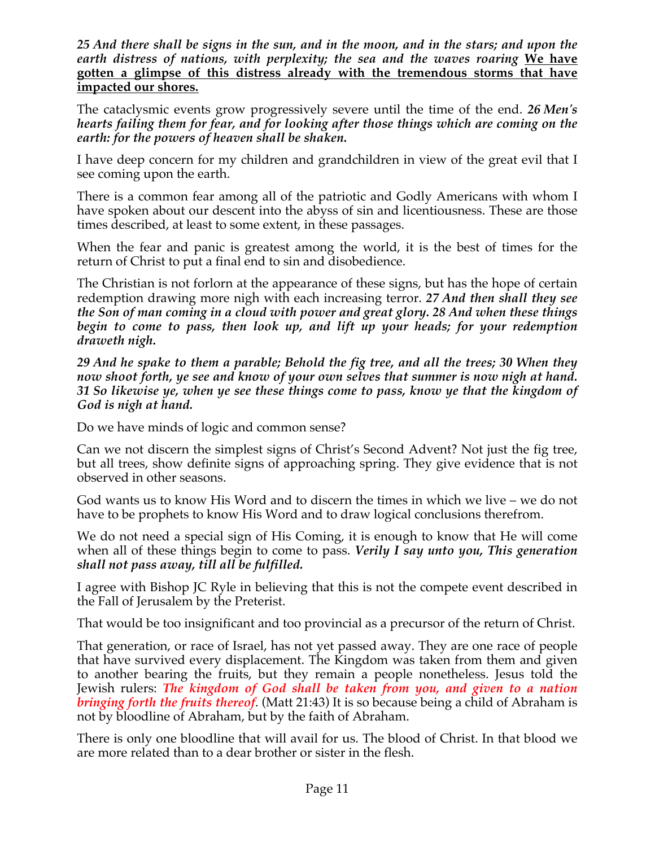*25 And there shall be signs in the sun, and in the moon, and in the stars; and upon the earth distress of nations, with perplexity; the sea and the waves roaring* **We have gotten a glimpse of this distress already with the tremendous storms that have impacted our shores.**

The cataclysmic events grow progressively severe until the time of the end. *26 Men's hearts failing them for fear, and for looking after those things which are coming on the earth: for the powers of heaven shall be shaken.*

I have deep concern for my children and grandchildren in view of the great evil that I see coming upon the earth.

There is a common fear among all of the patriotic and Godly Americans with whom I have spoken about our descent into the abyss of sin and licentiousness. These are those times described, at least to some extent, in these passages.

When the fear and panic is greatest among the world, it is the best of times for the return of Christ to put a final end to sin and disobedience.

The Christian is not forlorn at the appearance of these signs, but has the hope of certain redemption drawing more nigh with each increasing terror. *27 And then shall they see the Son of man coming in a cloud with power and great glory. 28 And when these things begin to come to pass, then look up, and lift up your heads; for your redemption draweth nigh.*

*29 And he spake to them a parable; Behold the fig tree, and all the trees; 30 When they now shoot forth, ye see and know of your own selves that summer is now nigh at hand. 31 So likewise ye, when ye see these things come to pass, know ye that the kingdom of God is nigh at hand.*

Do we have minds of logic and common sense?

Can we not discern the simplest signs of Christ's Second Advent? Not just the fig tree, but all trees, show definite signs of approaching spring. They give evidence that is not observed in other seasons.

God wants us to know His Word and to discern the times in which we live – we do not have to be prophets to know His Word and to draw logical conclusions therefrom.

We do not need a special sign of His Coming, it is enough to know that He will come when all of these things begin to come to pass. *Verily I say unto you, This generation shall not pass away, till all be fulfilled.*

I agree with Bishop JC Ryle in believing that this is not the compete event described in the Fall of Jerusalem by the Preterist.

That would be too insignificant and too provincial as a precursor of the return of Christ.

That generation, or race of Israel, has not yet passed away. They are one race of people that have survived every displacement. The Kingdom was taken from them and given to another bearing the fruits, but they remain a people nonetheless. Jesus told the Jewish rulers: *The kingdom of God shall be taken from you, and given to a nation bringing forth the fruits thereof*. (Matt 21:43) It is so because being a child of Abraham is not by bloodline of Abraham, but by the faith of Abraham.

There is only one bloodline that will avail for us. The blood of Christ. In that blood we are more related than to a dear brother or sister in the flesh.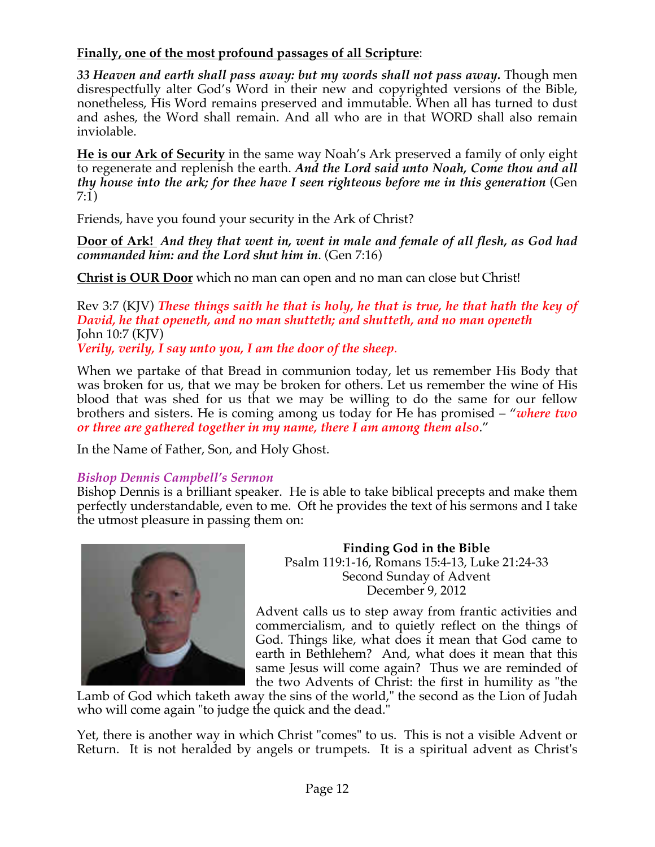# **Finally, one of the most profound passages of all Scripture**:

*33 Heaven and earth shall pass away: but my words shall not pass away.* Though men disrespectfully alter God's Word in their new and copyrighted versions of the Bible, nonetheless, His Word remains preserved and immutable. When all has turned to dust and ashes, the Word shall remain. And all who are in that WORD shall also remain inviolable.

**He is our Ark of Security** in the same way Noah's Ark preserved a family of only eight to regenerate and replenish the earth. *And the Lord said unto Noah, Come thou and all thy house into the ark; for thee have I seen righteous before me in this generation* (Gen 7:1)

Friends, have you found your security in the Ark of Christ?

**Door of Ark!** *And they that went in, went in male and female of all flesh, as God had commanded him: and the Lord shut him in*. (Gen 7:16)

**Christ is OUR Door** which no man can open and no man can close but Christ!

Rev 3:7 (KJV) *These things saith he that is holy, he that is true, he that hath the key of David, he that openeth, and no man shutteth; and shutteth, and no man openeth* John 10:7 (KJV)

*Verily, verily, I say unto you, I am the door of the sheep*.

When we partake of that Bread in communion today, let us remember His Body that was broken for us, that we may be broken for others. Let us remember the wine of His blood that was shed for us that we may be willing to do the same for our fellow brothers and sisters. He is coming among us today for He has promised – "*where two or three are gathered together in my name, there I am among them also*."

In the Name of Father, Son, and Holy Ghost.

# *Bishop Dennis Campbell's Sermon*

Bishop Dennis is a brilliant speaker. He is able to take biblical precepts and make them perfectly understandable, even to me. Oft he provides the text of his sermons and I take the utmost pleasure in passing them on:



**Finding God in the Bible** Psalm 119:1-16, Romans 15:4-13, Luke 21:24-33 Second Sunday of Advent December 9, 2012

Advent calls us to step away from frantic activities and commercialism, and to quietly reflect on the things of God. Things like, what does it mean that God came to earth in Bethlehem? And, what does it mean that this same Jesus will come again? Thus we are reminded of the two Advents of Christ: the first in humility as "the

Lamb of God which taketh away the sins of the world," the second as the Lion of Judah who will come again "to judge the quick and the dead."

Yet, there is another way in which Christ "comes" to us. This is not a visible Advent or Return. It is not heralded by angels or trumpets. It is a spiritual advent as Christ's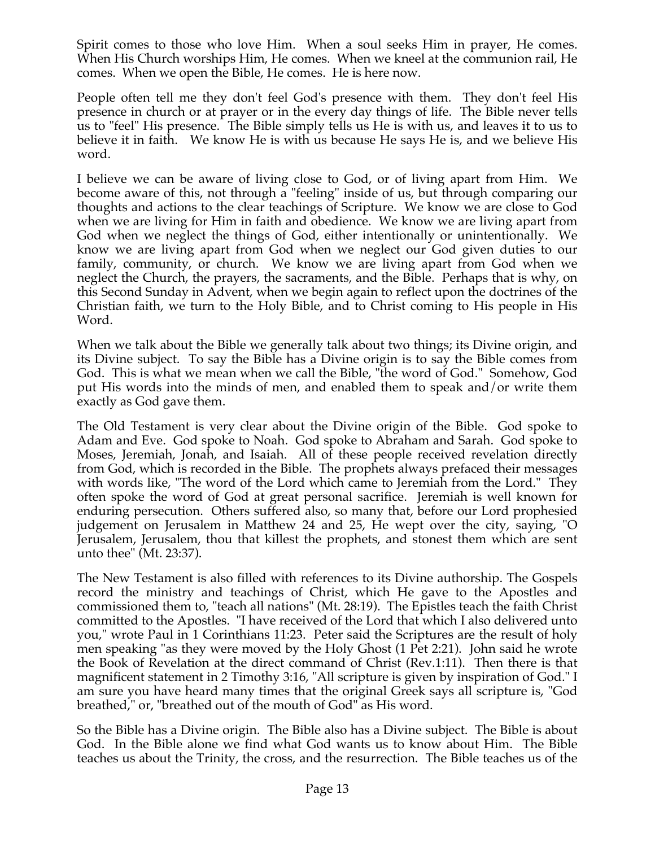Spirit comes to those who love Him. When a soul seeks Him in prayer, He comes. When His Church worships Him, He comes. When we kneel at the communion rail, He comes. When we open the Bible, He comes. He is here now.

People often tell me they don't feel God's presence with them. They don't feel His presence in church or at prayer or in the every day things of life. The Bible never tells us to "feel" His presence. The Bible simply tells us He is with us, and leaves it to us to believe it in faith. We know He is with us because He says He is, and we believe His word.

I believe we can be aware of living close to God, or of living apart from Him. We become aware of this, not through a "feeling" inside of us, but through comparing our thoughts and actions to the clear teachings of Scripture. We know we are close to God when we are living for Him in faith and obedience. We know we are living apart from God when we neglect the things of God, either intentionally or unintentionally. We know we are living apart from God when we neglect our God given duties to our family, community, or church. We know we are living apart from God when we neglect the Church, the prayers, the sacraments, and the Bible. Perhaps that is why, on this Second Sunday in Advent, when we begin again to reflect upon the doctrines of the Christian faith, we turn to the Holy Bible, and to Christ coming to His people in His Word.

When we talk about the Bible we generally talk about two things; its Divine origin, and its Divine subject. To say the Bible has a Divine origin is to say the Bible comes from God. This is what we mean when we call the Bible, "the word of God." Somehow, God put His words into the minds of men, and enabled them to speak and/or write them exactly as God gave them.

The Old Testament is very clear about the Divine origin of the Bible. God spoke to Adam and Eve. God spoke to Noah. God spoke to Abraham and Sarah. God spoke to Moses, Jeremiah, Jonah, and Isaiah. All of these people received revelation directly from God, which is recorded in the Bible. The prophets always prefaced their messages with words like, "The word of the Lord which came to Jeremiah from the Lord." They often spoke the word of God at great personal sacrifice. Jeremiah is well known for enduring persecution. Others suffered also, so many that, before our Lord prophesied judgement on Jerusalem in Matthew 24 and 25, He wept over the city, saying, "O Jerusalem, Jerusalem, thou that killest the prophets, and stonest them which are sent unto thee" (Mt. 23:37).

The New Testament is also filled with references to its Divine authorship. The Gospels record the ministry and teachings of Christ, which He gave to the Apostles and commissioned them to, "teach all nations" (Mt. 28:19). The Epistles teach the faith Christ committed to the Apostles. "I have received of the Lord that which I also delivered unto you," wrote Paul in 1 Corinthians 11:23. Peter said the Scriptures are the result of holy men speaking "as they were moved by the Holy Ghost (1 Pet 2:21). John said he wrote the Book of Revelation at the direct command of Christ (Rev.1:11). Then there is that magnificent statement in 2 Timothy 3:16, "All scripture is given by inspiration of God." I am sure you have heard many times that the original Greek says all scripture is, "God breathed," or, "breathed out of the mouth of God" as His word.

So the Bible has a Divine origin. The Bible also has a Divine subject. The Bible is about God. In the Bible alone we find what God wants us to know about Him. The Bible teaches us about the Trinity, the cross, and the resurrection. The Bible teaches us of the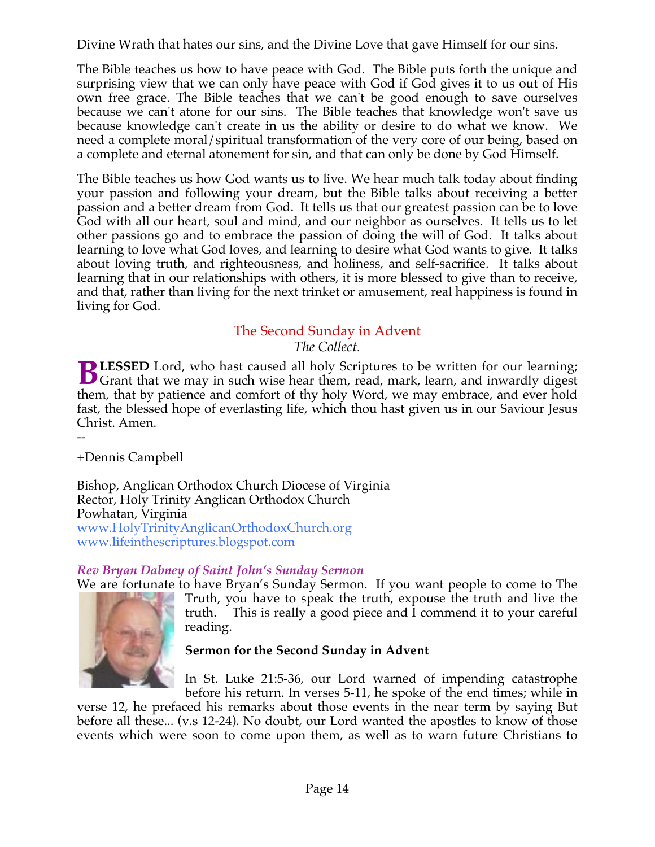Divine Wrath that hates our sins, and the Divine Love that gave Himself for our sins.

The Bible teaches us how to have peace with God. The Bible puts forth the unique and surprising view that we can only have peace with God if God gives it to us out of His own free grace. The Bible teaches that we can't be good enough to save ourselves because we can't atone for our sins. The Bible teaches that knowledge won't save us because knowledge can't create in us the ability or desire to do what we know. We need a complete moral/spiritual transformation of the very core of our being, based on a complete and eternal atonement for sin, and that can only be done by God Himself.

The Bible teaches us how God wants us to live. We hear much talk today about finding your passion and following your dream, but the Bible talks about receiving a better passion and a better dream from God. It tells us that our greatest passion can be to love God with all our heart, soul and mind, and our neighbor as ourselves. It tells us to let other passions go and to embrace the passion of doing the will of God. It talks about learning to love what God loves, and learning to desire what God wants to give. It talks about loving truth, and righteousness, and holiness, and self-sacrifice. It talks about learning that in our relationships with others, it is more blessed to give than to receive, and that, rather than living for the next trinket or amusement, real happiness is found in living for God.

## The Second Sunday in Advent *The Collect.*

**LESSED** Lord, who hast caused all holy Scriptures to be written for our learning; **BLESSED** Lord, who hast caused all holy Scriptures to be written for our learning;<br>Grant that we may in such wise hear them, read, mark, learn, and inwardly digest them, that by patience and comfort of thy holy Word, we may embrace, and ever hold fast, the blessed hope of everlasting life, which thou hast given us in our Saviour Jesus Christ. Amen. --

+Dennis Campbell

Bishop, Anglican Orthodox Church Diocese of Virginia Rector, Holy Trinity Anglican Orthodox Church Powhatan, Virginia www.HolyTrinityAnglicanOrthodoxChurch.org www.lifeinthescriptures.blogspot.com

# *Rev Bryan Dabney of Saint John's Sunday Sermon*

We are fortunate to have Bryan's Sunday Sermon. If you want people to come to The



Truth, you have to speak the truth, expouse the truth and live the truth. This is really a good piece and I commend it to your careful reading.

# **Sermon for the Second Sunday in Advent**

In St. Luke 21:5-36, our Lord warned of impending catastrophe before his return. In verses 5-11, he spoke of the end times; while in

verse 12, he prefaced his remarks about those events in the near term by saying But before all these... (v.s 12-24). No doubt, our Lord wanted the apostles to know of those events which were soon to come upon them, as well as to warn future Christians to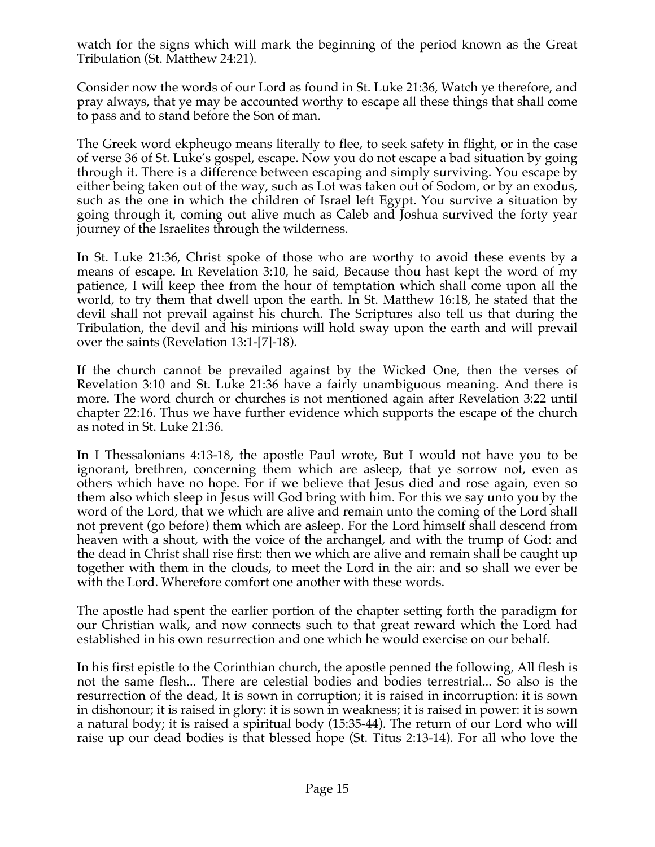watch for the signs which will mark the beginning of the period known as the Great Tribulation (St. Matthew 24:21).

Consider now the words of our Lord as found in St. Luke 21:36, Watch ye therefore, and pray always, that ye may be accounted worthy to escape all these things that shall come to pass and to stand before the Son of man.

The Greek word ekpheugo means literally to flee, to seek safety in flight, or in the case of verse 36 of St. Luke's gospel, escape. Now you do not escape a bad situation by going through it. There is a difference between escaping and simply surviving. You escape by either being taken out of the way, such as Lot was taken out of Sodom, or by an exodus, such as the one in which the children of Israel left Egypt. You survive a situation by going through it, coming out alive much as Caleb and Joshua survived the forty year journey of the Israelites through the wilderness.

In St. Luke 21:36, Christ spoke of those who are worthy to avoid these events by a means of escape. In Revelation 3:10, he said, Because thou hast kept the word of my patience, I will keep thee from the hour of temptation which shall come upon all the world, to try them that dwell upon the earth. In St. Matthew 16:18, he stated that the devil shall not prevail against his church. The Scriptures also tell us that during the Tribulation, the devil and his minions will hold sway upon the earth and will prevail over the saints (Revelation 13:1-[7]-18).

If the church cannot be prevailed against by the Wicked One, then the verses of Revelation 3:10 and St. Luke 21:36 have a fairly unambiguous meaning. And there is more. The word church or churches is not mentioned again after Revelation 3:22 until chapter 22:16. Thus we have further evidence which supports the escape of the church as noted in St. Luke 21:36.

In I Thessalonians 4:13-18, the apostle Paul wrote, But I would not have you to be ignorant, brethren, concerning them which are asleep, that ye sorrow not, even as others which have no hope. For if we believe that Jesus died and rose again, even so them also which sleep in Jesus will God bring with him. For this we say unto you by the word of the Lord, that we which are alive and remain unto the coming of the Lord shall not prevent (go before) them which are asleep. For the Lord himself shall descend from heaven with a shout, with the voice of the archangel, and with the trump of God: and the dead in Christ shall rise first: then we which are alive and remain shall be caught up together with them in the clouds, to meet the Lord in the air: and so shall we ever be with the Lord. Wherefore comfort one another with these words.

The apostle had spent the earlier portion of the chapter setting forth the paradigm for our Christian walk, and now connects such to that great reward which the Lord had established in his own resurrection and one which he would exercise on our behalf.

In his first epistle to the Corinthian church, the apostle penned the following, All flesh is not the same flesh... There are celestial bodies and bodies terrestrial... So also is the resurrection of the dead, It is sown in corruption; it is raised in incorruption: it is sown in dishonour; it is raised in glory: it is sown in weakness; it is raised in power: it is sown a natural body; it is raised a spiritual body (15:35-44). The return of our Lord who will raise up our dead bodies is that blessed hope (St. Titus 2:13-14). For all who love the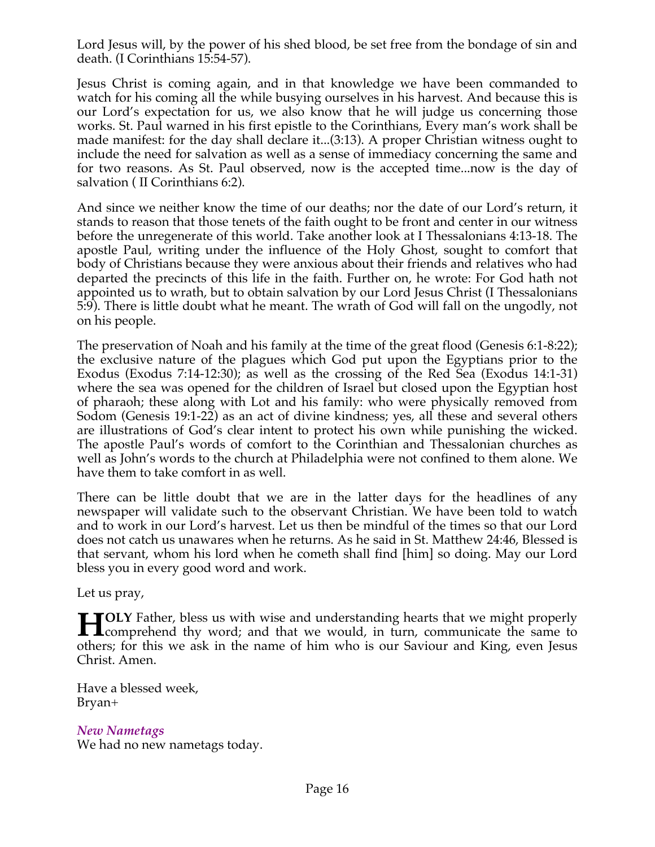Lord Jesus will, by the power of his shed blood, be set free from the bondage of sin and death. (I Corinthians 15:54-57).

Jesus Christ is coming again, and in that knowledge we have been commanded to watch for his coming all the while busying ourselves in his harvest. And because this is our Lord's expectation for us, we also know that he will judge us concerning those works. St. Paul warned in his first epistle to the Corinthians, Every man's work shall be made manifest: for the day shall declare it...(3:13). A proper Christian witness ought to include the need for salvation as well as a sense of immediacy concerning the same and for two reasons. As St. Paul observed, now is the accepted time...now is the day of salvation ( II Corinthians 6:2).

And since we neither know the time of our deaths; nor the date of our Lord's return, it stands to reason that those tenets of the faith ought to be front and center in our witness before the unregenerate of this world. Take another look at I Thessalonians 4:13-18. The apostle Paul, writing under the influence of the Holy Ghost, sought to comfort that body of Christians because they were anxious about their friends and relatives who had departed the precincts of this life in the faith. Further on, he wrote: For God hath not appointed us to wrath, but to obtain salvation by our Lord Jesus Christ (I Thessalonians 5:9). There is little doubt what he meant. The wrath of God will fall on the ungodly, not on his people.

The preservation of Noah and his family at the time of the great flood (Genesis 6:1-8:22); the exclusive nature of the plagues which God put upon the Egyptians prior to the Exodus (Exodus 7:14-12:30); as well as the crossing of the Red Sea (Exodus 14:1-31) where the sea was opened for the children of Israel but closed upon the Egyptian host of pharaoh; these along with Lot and his family: who were physically removed from Sodom (Genesis 19:1-22) as an act of divine kindness; yes, all these and several others are illustrations of God's clear intent to protect his own while punishing the wicked. The apostle Paul's words of comfort to the Corinthian and Thessalonian churches as well as John's words to the church at Philadelphia were not confined to them alone. We have them to take comfort in as well.

There can be little doubt that we are in the latter days for the headlines of any newspaper will validate such to the observant Christian. We have been told to watch and to work in our Lord's harvest. Let us then be mindful of the times so that our Lord does not catch us unawares when he returns. As he said in St. Matthew 24:46, Blessed is that servant, whom his lord when he cometh shall find [him] so doing. May our Lord bless you in every good word and work.

Let us pray,

**OLY** Father, bless us with wise and understanding hearts that we might properly **HOLY** Father, bless us with wise and understanding hearts that we might properly comprehend thy word; and that we would, in turn, communicate the same to others; for this we ask in the name of him who is our Saviour and King, even Jesus Christ. Amen.

Have a blessed week, Bryan+

# *New Nametags*

We had no new nametags today.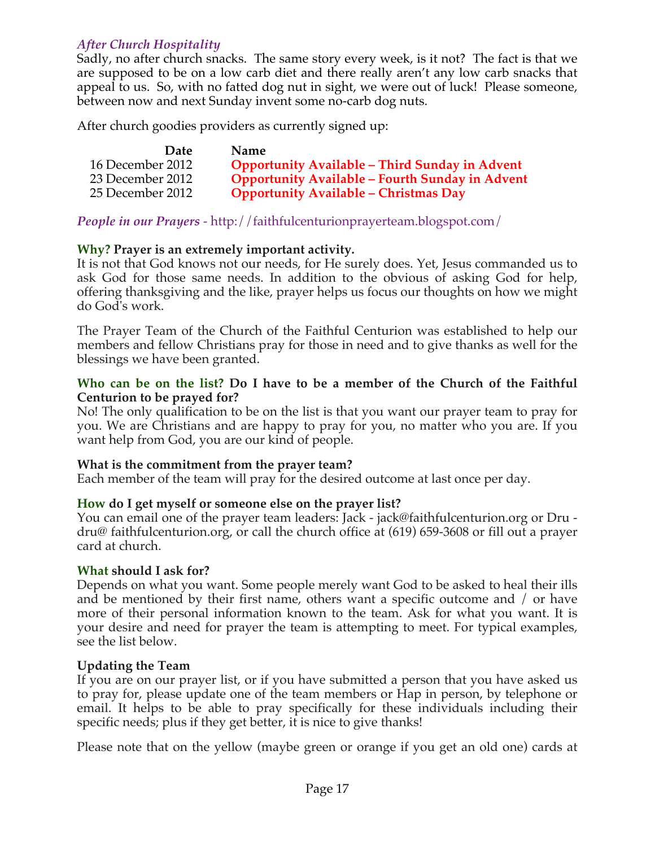# *After Church Hospitality*

Sadly, no after church snacks. The same story every week, is it not? The fact is that we are supposed to be on a low carb diet and there really aren't any low carb snacks that appeal to us. So, with no fatted dog nut in sight, we were out of luck! Please someone, between now and next Sunday invent some no-carb dog nuts.

After church goodies providers as currently signed up:

| Date             | <b>Name</b>                                            |
|------------------|--------------------------------------------------------|
| 16 December 2012 | <b>Opportunity Available - Third Sunday in Advent</b>  |
| 23 December 2012 | <b>Opportunity Available - Fourth Sunday in Advent</b> |
| 25 December 2012 | <b>Opportunity Available - Christmas Day</b>           |

# *People in our Prayers* - http://faithfulcenturionprayerteam.blogspot.com/

## **Why? Prayer is an extremely important activity.**

It is not that God knows not our needs, for He surely does. Yet, Jesus commanded us to ask God for those same needs. In addition to the obvious of asking God for help, offering thanksgiving and the like, prayer helps us focus our thoughts on how we might do God's work.

The Prayer Team of the Church of the Faithful Centurion was established to help our members and fellow Christians pray for those in need and to give thanks as well for the blessings we have been granted.

#### **Who can be on the list? Do I have to be a member of the Church of the Faithful Centurion to be prayed for?**

No! The only qualification to be on the list is that you want our prayer team to pray for you. We are Christians and are happy to pray for you, no matter who you are. If you want help from God, you are our kind of people.

#### **What is the commitment from the prayer team?**

Each member of the team will pray for the desired outcome at last once per day.

#### **How do I get myself or someone else on the prayer list?**

You can email one of the prayer team leaders: Jack - jack@faithfulcenturion.org or Dru dru@ faithfulcenturion.org, or call the church office at (619) 659-3608 or fill out a prayer card at church.

#### **What should I ask for?**

Depends on what you want. Some people merely want God to be asked to heal their ills and be mentioned by their first name, others want a specific outcome and / or have more of their personal information known to the team. Ask for what you want. It is your desire and need for prayer the team is attempting to meet. For typical examples, see the list below.

#### **Updating the Team**

If you are on our prayer list, or if you have submitted a person that you have asked us to pray for, please update one of the team members or Hap in person, by telephone or email. It helps to be able to pray specifically for these individuals including their specific needs; plus if they get better, it is nice to give thanks!

Please note that on the yellow (maybe green or orange if you get an old one) cards at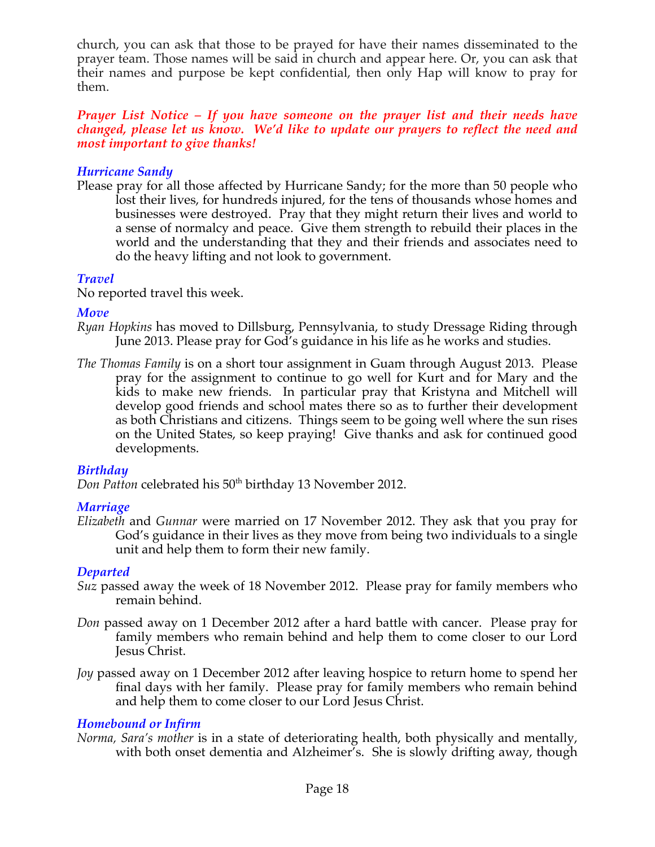church, you can ask that those to be prayed for have their names disseminated to the prayer team. Those names will be said in church and appear here. Or, you can ask that their names and purpose be kept confidential, then only Hap will know to pray for them.

#### *Prayer List Notice – If you have someone on the prayer list and their needs have changed, please let us know. We'd like to update our prayers to reflect the need and most important to give thanks!*

## *Hurricane Sandy*

Please pray for all those affected by Hurricane Sandy; for the more than 50 people who lost their lives, for hundreds injured, for the tens of thousands whose homes and businesses were destroyed. Pray that they might return their lives and world to a sense of normalcy and peace. Give them strength to rebuild their places in the world and the understanding that they and their friends and associates need to do the heavy lifting and not look to government.

# *Travel*

No reported travel this week.

## *Move*

- *Ryan Hopkins* has moved to Dillsburg, Pennsylvania, to study Dressage Riding through June 2013. Please pray for God's guidance in his life as he works and studies.
- *The Thomas Family* is on a short tour assignment in Guam through August 2013. Please pray for the assignment to continue to go well for Kurt and for Mary and the kids to make new friends. In particular pray that Kristyna and Mitchell will develop good friends and school mates there so as to further their development as both Christians and citizens. Things seem to be going well where the sun rises on the United States, so keep praying! Give thanks and ask for continued good developments.

# *Birthday*

*Don Patton* celebrated his 50<sup>th</sup> birthday 13 November 2012.

# *Marriage*

*Elizabeth* and *Gunnar* were married on 17 November 2012. They ask that you pray for God's guidance in their lives as they move from being two individuals to a single unit and help them to form their new family.

# *Departed*

- *Suz* passed away the week of 18 November 2012. Please pray for family members who remain behind.
- *Don* passed away on 1 December 2012 after a hard battle with cancer. Please pray for family members who remain behind and help them to come closer to our Lord Jesus Christ.
- *Joy* passed away on 1 December 2012 after leaving hospice to return home to spend her final days with her family. Please pray for family members who remain behind and help them to come closer to our Lord Jesus Christ.

# *Homebound or Infirm*

*Norma, Sara's mother* is in a state of deteriorating health, both physically and mentally, with both onset dementia and Alzheimer's. She is slowly drifting away, though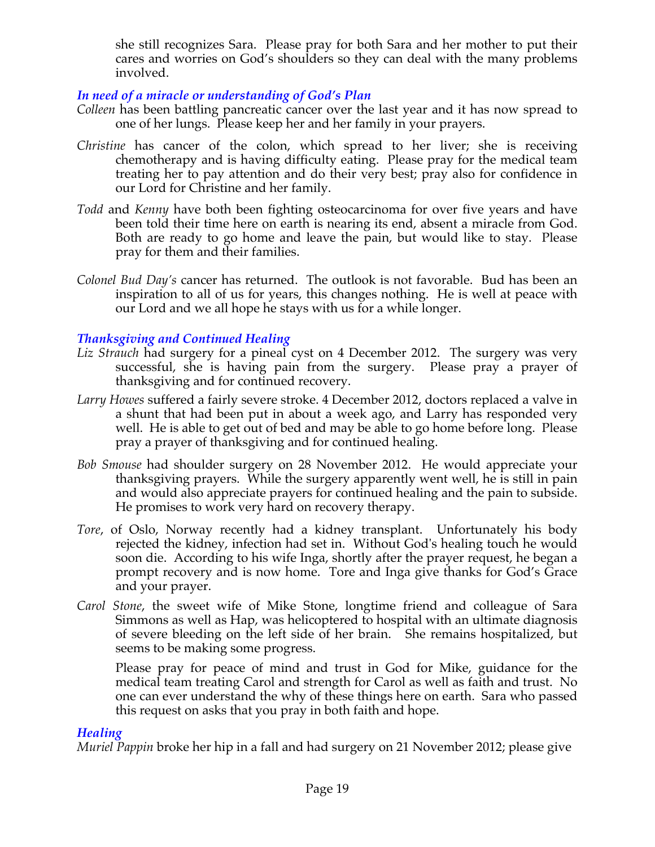she still recognizes Sara. Please pray for both Sara and her mother to put their cares and worries on God's shoulders so they can deal with the many problems involved.

# *In need of a miracle or understanding of God's Plan*

- *Colleen* has been battling pancreatic cancer over the last year and it has now spread to one of her lungs. Please keep her and her family in your prayers.
- *Christine* has cancer of the colon, which spread to her liver; she is receiving chemotherapy and is having difficulty eating. Please pray for the medical team treating her to pay attention and do their very best; pray also for confidence in our Lord for Christine and her family.
- *Todd* and *Kenny* have both been fighting osteocarcinoma for over five years and have been told their time here on earth is nearing its end, absent a miracle from God. Both are ready to go home and leave the pain, but would like to stay. Please pray for them and their families.
- *Colonel Bud Day's* cancer has returned. The outlook is not favorable. Bud has been an inspiration to all of us for years, this changes nothing. He is well at peace with our Lord and we all hope he stays with us for a while longer.

## *Thanksgiving and Continued Healing*

- *Liz Strauch* had surgery for a pineal cyst on 4 December 2012. The surgery was very successful, she is having pain from the surgery. Please pray a prayer of thanksgiving and for continued recovery.
- *Larry Howes* suffered a fairly severe stroke. 4 December 2012, doctors replaced a valve in a shunt that had been put in about a week ago, and Larry has responded very well. He is able to get out of bed and may be able to go home before long. Please pray a prayer of thanksgiving and for continued healing.
- *Bob Smouse* had shoulder surgery on 28 November 2012. He would appreciate your thanksgiving prayers. While the surgery apparently went well, he is still in pain and would also appreciate prayers for continued healing and the pain to subside. He promises to work very hard on recovery therapy.
- *Tore*, of Oslo, Norway recently had a kidney transplant. Unfortunately his body rejected the kidney, infection had set in. Without God's healing touch he would soon die. According to his wife Inga, shortly after the prayer request, he began a prompt recovery and is now home. Tore and Inga give thanks for God's Grace and your prayer.
- *Carol Stone*, the sweet wife of Mike Stone, longtime friend and colleague of Sara Simmons as well as Hap, was helicoptered to hospital with an ultimate diagnosis of severe bleeding on the left side of her brain. She remains hospitalized, but seems to be making some progress.

Please pray for peace of mind and trust in God for Mike, guidance for the medical team treating Carol and strength for Carol as well as faith and trust. No one can ever understand the why of these things here on earth. Sara who passed this request on asks that you pray in both faith and hope.

#### *Healing*

*Muriel Pappin* broke her hip in a fall and had surgery on 21 November 2012; please give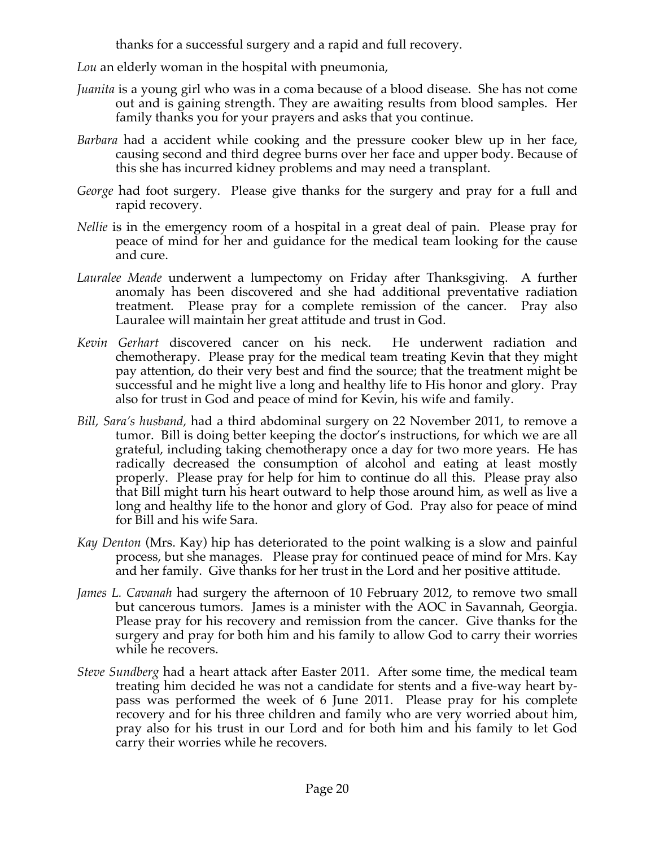thanks for a successful surgery and a rapid and full recovery.

*Lou* an elderly woman in the hospital with pneumonia,

- *Juanita* is a young girl who was in a coma because of a blood disease. She has not come out and is gaining strength. They are awaiting results from blood samples. Her family thanks you for your prayers and asks that you continue.
- *Barbara* had a accident while cooking and the pressure cooker blew up in her face, causing second and third degree burns over her face and upper body. Because of this she has incurred kidney problems and may need a transplant.
- *George* had foot surgery. Please give thanks for the surgery and pray for a full and rapid recovery.
- *Nellie* is in the emergency room of a hospital in a great deal of pain. Please pray for peace of mind for her and guidance for the medical team looking for the cause and cure.
- *Lauralee Meade* underwent a lumpectomy on Friday after Thanksgiving. A further anomaly has been discovered and she had additional preventative radiation treatment. Please pray for a complete remission of the cancer. Pray also Lauralee will maintain her great attitude and trust in God.
- *Kevin Gerhart* discovered cancer on his neck. He underwent radiation and chemotherapy. Please pray for the medical team treating Kevin that they might pay attention, do their very best and find the source; that the treatment might be successful and he might live a long and healthy life to His honor and glory. Pray also for trust in God and peace of mind for Kevin, his wife and family.
- *Bill, Sara's husband,* had a third abdominal surgery on 22 November 2011, to remove a tumor. Bill is doing better keeping the doctor's instructions, for which we are all grateful, including taking chemotherapy once a day for two more years. He has radically decreased the consumption of alcohol and eating at least mostly properly. Please pray for help for him to continue do all this. Please pray also that Bill might turn his heart outward to help those around him, as well as live a long and healthy life to the honor and glory of God. Pray also for peace of mind for Bill and his wife Sara.
- *Kay Denton* (Mrs. Kay) hip has deteriorated to the point walking is a slow and painful process, but she manages. Please pray for continued peace of mind for Mrs. Kay and her family. Give thanks for her trust in the Lord and her positive attitude.
- *James L. Cavanah* had surgery the afternoon of 10 February 2012, to remove two small but cancerous tumors. James is a minister with the AOC in Savannah, Georgia. Please pray for his recovery and remission from the cancer. Give thanks for the surgery and pray for both him and his family to allow God to carry their worries while he recovers.
- *Steve Sundberg* had a heart attack after Easter 2011. After some time, the medical team treating him decided he was not a candidate for stents and a five-way heart bypass was performed the week of 6 June 2011. Please pray for his complete recovery and for his three children and family who are very worried about him, pray also for his trust in our Lord and for both him and his family to let God carry their worries while he recovers.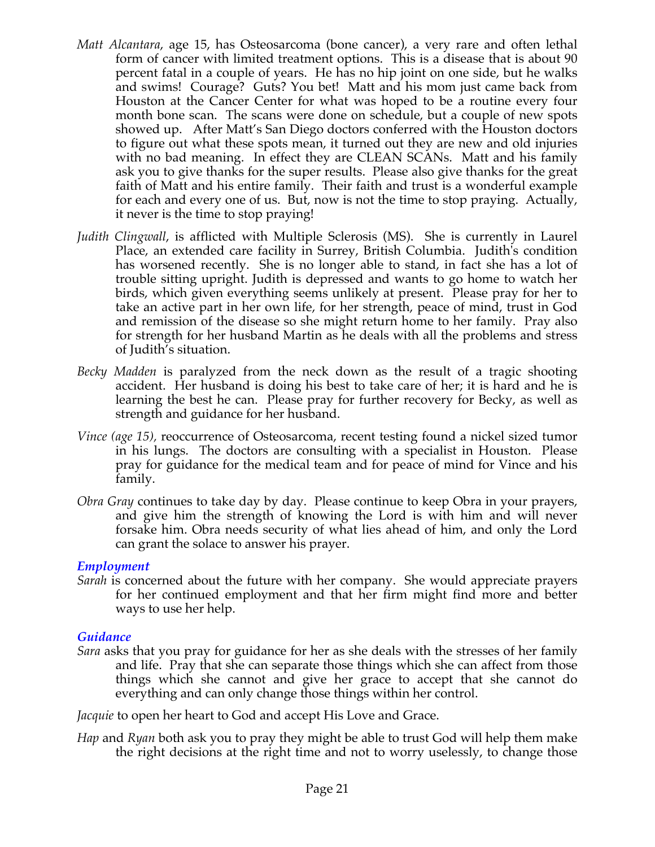- *Matt Alcantara*, age 15, has Osteosarcoma (bone cancer), a very rare and often lethal form of cancer with limited treatment options. This is a disease that is about 90 percent fatal in a couple of years. He has no hip joint on one side, but he walks and swims! Courage? Guts? You bet! Matt and his mom just came back from Houston at the Cancer Center for what was hoped to be a routine every four month bone scan. The scans were done on schedule, but a couple of new spots showed up. After Matt's San Diego doctors conferred with the Houston doctors to figure out what these spots mean, it turned out they are new and old injuries with no bad meaning. In effect they are CLEAN SCANs. Matt and his family ask you to give thanks for the super results. Please also give thanks for the great faith of Matt and his entire family. Their faith and trust is a wonderful example for each and every one of us. But, now is not the time to stop praying. Actually, it never is the time to stop praying!
- *Judith Clingwall*, is afflicted with Multiple Sclerosis (MS). She is currently in Laurel Place, an extended care facility in Surrey, British Columbia. Judith's condition has worsened recently. She is no longer able to stand, in fact she has a lot of trouble sitting upright. Judith is depressed and wants to go home to watch her birds, which given everything seems unlikely at present. Please pray for her to take an active part in her own life, for her strength, peace of mind, trust in God and remission of the disease so she might return home to her family. Pray also for strength for her husband Martin as he deals with all the problems and stress of Judith's situation.
- *Becky Madden* is paralyzed from the neck down as the result of a tragic shooting accident. Her husband is doing his best to take care of her; it is hard and he is learning the best he can. Please pray for further recovery for Becky, as well as strength and guidance for her husband.
- *Vince (age 15),* reoccurrence of Osteosarcoma, recent testing found a nickel sized tumor in his lungs. The doctors are consulting with a specialist in Houston. Please pray for guidance for the medical team and for peace of mind for Vince and his family.
- *Obra Gray* continues to take day by day. Please continue to keep Obra in your prayers, and give him the strength of knowing the Lord is with him and will never forsake him. Obra needs security of what lies ahead of him, and only the Lord can grant the solace to answer his prayer.

#### *Employment*

*Sarah* is concerned about the future with her company. She would appreciate prayers for her continued employment and that her firm might find more and better ways to use her help.

#### *Guidance*

*Sara* asks that you pray for guidance for her as she deals with the stresses of her family and life. Pray that she can separate those things which she can affect from those things which she cannot and give her grace to accept that she cannot do everything and can only change those things within her control.

*Jacquie* to open her heart to God and accept His Love and Grace.

*Hap* and *Ryan* both ask you to pray they might be able to trust God will help them make the right decisions at the right time and not to worry uselessly, to change those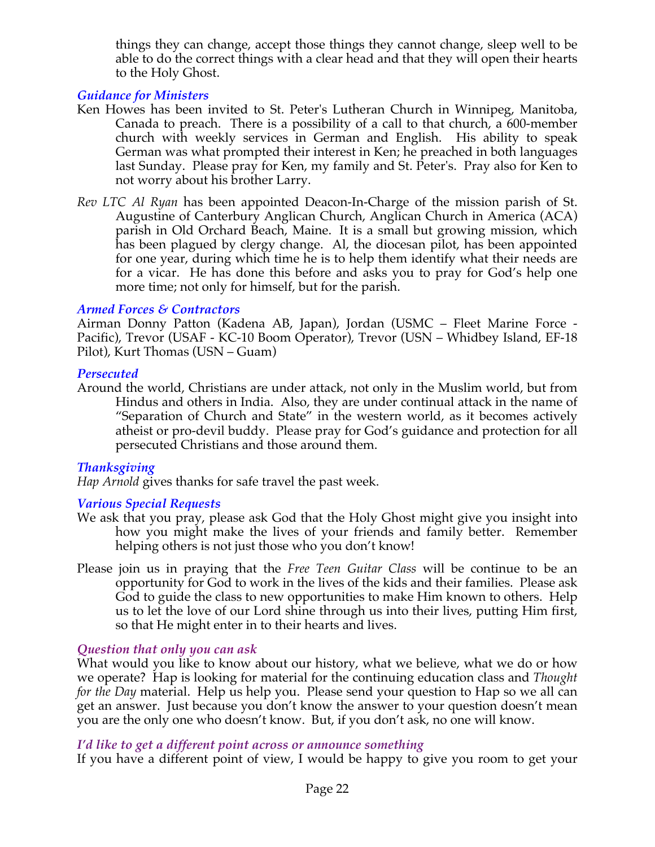things they can change, accept those things they cannot change, sleep well to be able to do the correct things with a clear head and that they will open their hearts to the Holy Ghost.

# *Guidance for Ministers*

- Ken Howes has been invited to St. Peter's Lutheran Church in Winnipeg, Manitoba, Canada to preach. There is a possibility of a call to that church, a 600-member church with weekly services in German and English. His ability to speak German was what prompted their interest in Ken; he preached in both languages last Sunday. Please pray for Ken, my family and St. Peter's. Pray also for Ken to not worry about his brother Larry.
- *Rev LTC Al Ryan* has been appointed Deacon-In-Charge of the mission parish of St. Augustine of Canterbury Anglican Church, Anglican Church in America (ACA) parish in Old Orchard Beach, Maine. It is a small but growing mission, which has been plagued by clergy change. Al, the diocesan pilot, has been appointed for one year, during which time he is to help them identify what their needs are for a vicar. He has done this before and asks you to pray for God's help one more time; not only for himself, but for the parish.

#### *Armed Forces & Contractors*

Airman Donny Patton (Kadena AB, Japan), Jordan (USMC – Fleet Marine Force - Pacific), Trevor (USAF - KC-10 Boom Operator), Trevor (USN – Whidbey Island, EF-18 Pilot), Kurt Thomas (USN – Guam)

#### *Persecuted*

Around the world, Christians are under attack, not only in the Muslim world, but from Hindus and others in India. Also, they are under continual attack in the name of "Separation of Church and State" in the western world, as it becomes actively atheist or pro-devil buddy. Please pray for God's guidance and protection for all persecuted Christians and those around them.

#### *Thanksgiving*

*Hap Arnold* gives thanks for safe travel the past week.

#### *Various Special Requests*

- We ask that you pray, please ask God that the Holy Ghost might give you insight into how you might make the lives of your friends and family better. Remember helping others is not just those who you don't know!
- Please join us in praying that the *Free Teen Guitar Class* will be continue to be an opportunity for God to work in the lives of the kids and their families. Please ask God to guide the class to new opportunities to make Him known to others. Help us to let the love of our Lord shine through us into their lives, putting Him first, so that He might enter in to their hearts and lives.

#### *Question that only you can ask*

What would you like to know about our history, what we believe, what we do or how we operate? Hap is looking for material for the continuing education class and *Thought for the Day* material. Help us help you. Please send your question to Hap so we all can get an answer. Just because you don't know the answer to your question doesn't mean you are the only one who doesn't know. But, if you don't ask, no one will know.

#### *I'd like to get a different point across or announce something*

If you have a different point of view, I would be happy to give you room to get your